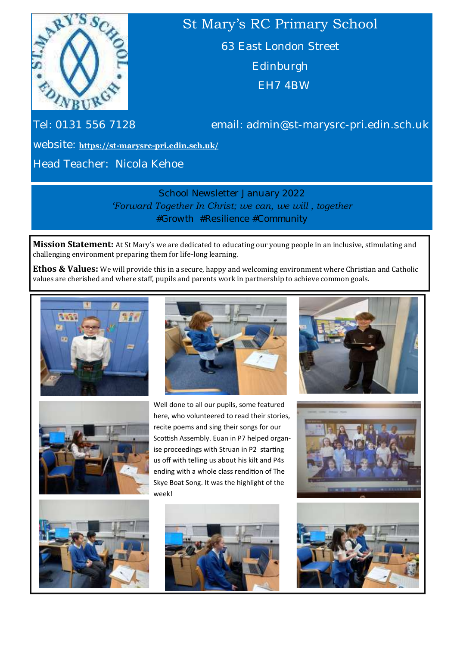

# St Mary's RC Primary School

63 East London Street Edinburgh EH7 4BW

Tel: 0131 556 7128 email: admin@st-marysrc-pri.edin.sch.uk

website: **https://st-marysrc-[pri.edin.sch.uk/](https://st-marysrc-pri.edin.sch.uk/)**

Head Teacher: Nicola Kehoe

School Newsletter January 2022 *'Forward Together In Christ; we can, we will , together #Growth #Resilience #Community*

**Mission Statement:** At St Mary's we are dedicated to educating our young people in an inclusive, stimulating and challenging environment preparing them for life-long learning.

**Ethos & Values:** We will provide this in a secure, happy and welcoming environment where Christian and Catholic values are cherished and where staff, pupils and parents work in partnership to achieve common goals.







Well done to all our pupils, some featured here, who volunteered to read their stories, recite poems and sing their songs for our Scottish Assembly. Euan in P7 helped organise proceedings with Struan in P2 starting us off with telling us about his kilt and P4s ending with a whole class rendition of The Skye Boat Song. It was the highlight of the week!









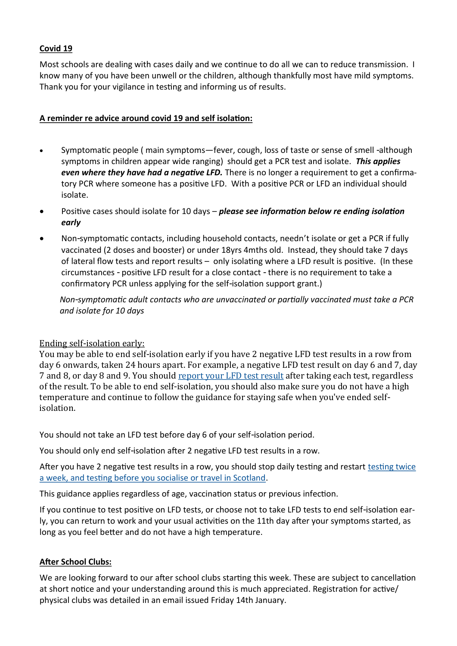### **Covid 19**

Most schools are dealing with cases daily and we continue to do all we can to reduce transmission. I know many of you have been unwell or the children, although thankfully most have mild symptoms. Thank you for your vigilance in testing and informing us of results.

### **A reminder re advice around covid 19 and self isolation:**

- Symptomatic people ( main symptoms—fever, cough, loss of taste or sense of smell -although symptoms in children appear wide ranging) should get a PCR test and isolate. *This applies even where they have had a negative LFD.* There is no longer a requirement to get a confirmatory PCR where someone has a positive LFD. With a positive PCR or LFD an individual should isolate.
- Positive cases should isolate for 10 days *please see information below re ending isolation early*
- Non-symptomatic contacts, including household contacts, needn't isolate or get a PCR if fully vaccinated (2 doses and booster) or under 18yrs 4mths old. Instead, they should take 7 days of lateral flow tests and report results – only isolating where a LFD result is positive. (In these circumstances - positive LFD result for a close contact - there is no requirement to take a confirmatory PCR unless applying for the self-isolation support grant.)

 *Non-symptomatic adult contacts who are unvaccinated or partially vaccinated must take a PCR and isolate for 10 days*

## Ending self-isolation early:

You may be able to end self-isolation early if you have 2 negative LFD test results in a row from day 6 onwards, taken 24 hours apart. For example, a negative LFD test result on day 6 and 7, day 7 and 8, or day 8 and 9. You should [report your LFD test result](https://www.nhsinform.scot/campaigns/coronavirus-covid-19-report-your-test-result/) after taking each test, regardless of the result. To be able to end self-isolation, you should also make sure you do not have a high temperature and continue to follow the guidance for staying safe when you've ended selfisolation.

You should not take an LFD test before day 6 of your self-isolation period.

You should only end self-isolation after 2 negative LFD test results in a row.

After you have 2 negative test results in a row, you should stop daily testing and restart [testing twice](https://www.nhsinform.scot/illnesses-and-conditions/infections-and-poisoning/coronavirus-covid-19/test-and-protect/coronavirus-covid-19-get-a-test-if-you-do-not-have-symptoms/)  [a week, and testing before you socialise or travel in Scotland.](https://www.nhsinform.scot/illnesses-and-conditions/infections-and-poisoning/coronavirus-covid-19/test-and-protect/coronavirus-covid-19-get-a-test-if-you-do-not-have-symptoms/)

This guidance applies regardless of age, vaccination status or previous infection.

If you continue to test positive on LFD tests, or choose not to take LFD tests to end self-isolation early, you can return to work and your usual activities on the 11th day after your symptoms started, as long as you feel better and do not have a high temperature.

### **After School Clubs:**

We are looking forward to our after school clubs starting this week. These are subject to cancellation at short notice and your understanding around this is much appreciated. Registration for active/ physical clubs was detailed in an email issued Friday 14th January.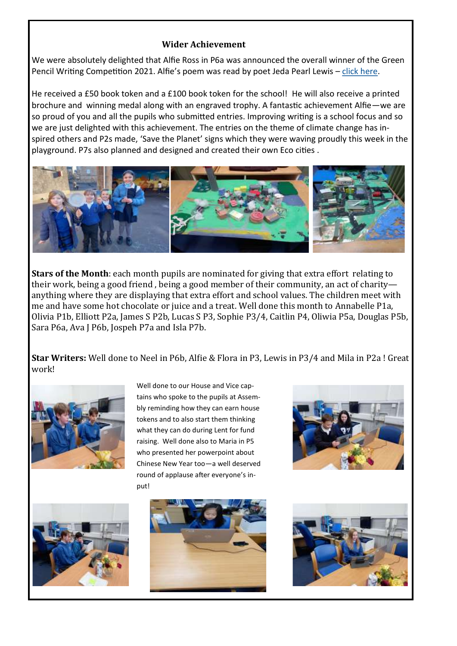#### **Wider Achievement**

We were absolutely delighted that Alfie Ross in P6a was announced the overall winner of the Green Pencil Writing Competition 2021. Alfie's poem was read by poet Jeda Pearl Lewis - [click here.](https://www.youtube.com/watch?v=yficYPpFo54)

He received a £50 book token and a £100 book token for the school! He will also receive a printed brochure and winning medal along with an engraved trophy. A fantastic achievement Alfie—we are so proud of you and all the pupils who submitted entries. Improving writing is a school focus and so we are just delighted with this achievement. The entries on the theme of climate change has inspired others and P2s made, 'Save the Planet' signs which they were waving proudly this week in the playground. P7s also planned and designed and created their own Eco cities .



**Stars of the Month**: each month pupils are nominated for giving that extra effort relating to their work, being a good friend , being a good member of their community, an act of charity anything where they are displaying that extra effort and school values. The children meet with me and have some hot chocolate or juice and a treat. Well done this month to Annabelle P1a, Olivia P1b, Elliott P2a, James S P2b, Lucas S P3, Sophie P3/4, Caitlin P4, Oliwia P5a, Douglas P5b, Sara P6a, Ava J P6b, Jospeh P7a and Isla P7b.

**Star Writers:** Well done to Neel in P6b, Alfie & Flora in P3, Lewis in P3/4 and Mila in P2a ! Great work!



Well done to our House and Vice captains who spoke to the pupils at Assembly reminding how they can earn house tokens and to also start them thinking what they can do during Lent for fund raising. Well done also to Maria in P5 who presented her powerpoint about Chinese New Year too—a well deserved round of applause after everyone's input!